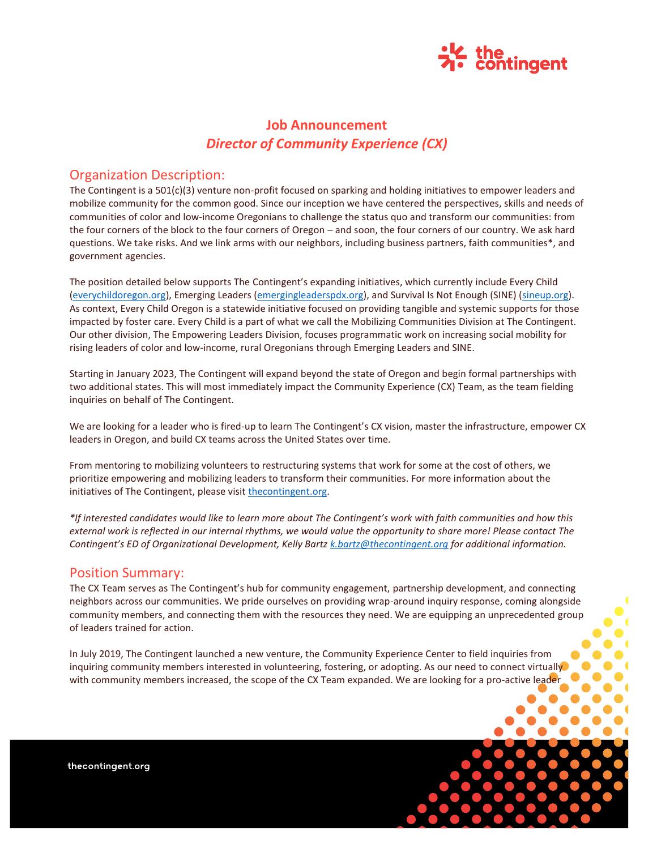

# **Job Announcement** *Director of Community Experience (CX)*

### Organization Description:

The Contingent is a 501(c)(3) venture non-profit focused on sparking and holding initiatives to empower leaders and mobilize community for the common good. Since our inception we have centered the perspectives, skills and needs of communities of color and low-income Oregonians to challenge the status quo and transform our communities: from the four corners of the block to the four corners of Oregon – and soon, the four corners of our country. We ask hard questions. We take risks. And we link arms with our neighbors, including business partners, faith communities\*, and government agencies.

The position detailed below supports The Contingent's expanding initiatives, which currently include Every Child [\(everychildoregon.org\)](http://everychildoregon.org/), Emerging Leaders [\(emergingleaderspdx.org\)](https://emergingleaderspdx.org/), and Survival Is Not Enough (SINE) [\(sineup.org\)](https://sineup.org/). As context, Every Child Oregon is a statewide initiative focused on providing tangible and systemic supports for those impacted by foster care. Every Child is a part of what we call the Mobilizing Communities Division at The Contingent. Our other division, The Empowering Leaders Division, focuses programmatic work on increasing social mobility for rising leaders of color and low-income, rural Oregonians through Emerging Leaders and SINE.

Starting in January 2023, The Contingent will expand beyond the state of Oregon and begin formal partnerships with two additional states. This will most immediately impact the Community Experience (CX) Team, as the team fielding inquiries on behalf of The Contingent.

We are looking for a leader who is fired-up to learn The Contingent's CX vision, master the infrastructure, empower CX leaders in Oregon, and build CX teams across the United States over time.

From mentoring to mobilizing volunteers to restructuring systems that work for some at the cost of others, we prioritize empowering and mobilizing leaders to transform their communities. For more information about the initiatives of The Contingent, please visi[t thecontingent.org.](https://thecontingent.org/)

*\*If interested candidates would like to learn more about The Contingent's work with faith communities and how this external work is reflected in our internal rhythms, we would value the opportunity to share more! Please contact The Contingent's ED of Organizational Development, Kelly Bartz [k.bartz@thecontingent.org](mailto:k.bartz@thecontingent.org) for additional information.*

### Position Summary:

The CX Team serves as The Contingent's hub for community engagement, partnership development, and connecting neighbors across our communities. We pride ourselves on providing wrap-around inquiry response, coming alongside community members, and connecting them with the resources they need. We are equipping an unprecedented group of leaders trained for action.

In July 2019, The Contingent launched a new venture, the Community Experience Center to field inquiries from inquiring community members interested in volunteering, fostering, or adopting. As our need to connect virtually with community members increased, the scope of the CX Team expanded. We are looking for a pro-active leader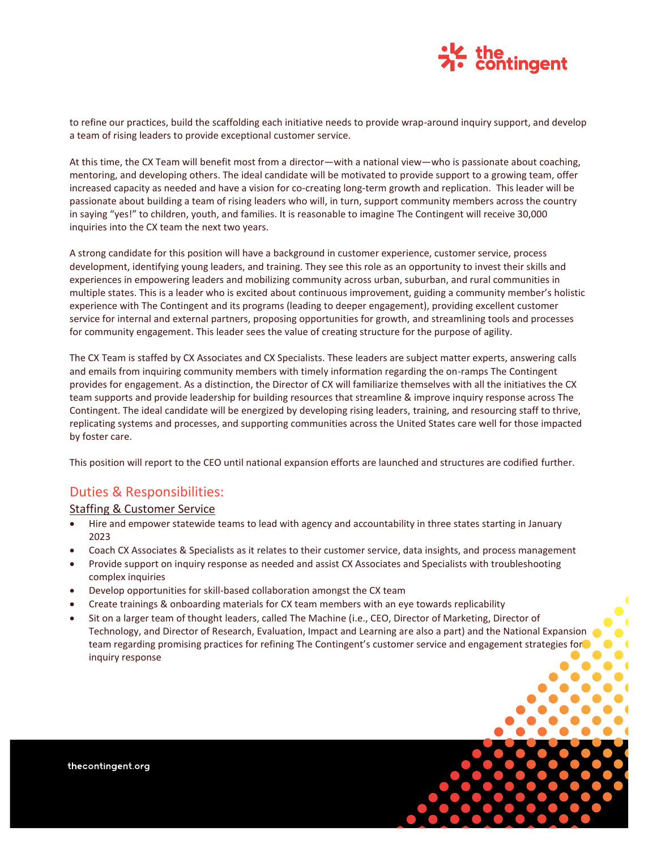

to refine our practices, build the scaffolding each initiative needs to provide wrap-around inquiry support, and develop a team of rising leaders to provide exceptional customer service.

At this time, the CX Team will benefit most from a director—with a national view—who is passionate about coaching, mentoring, and developing others. The ideal candidate will be motivated to provide support to a growing team, offer increased capacity as needed and have a vision for co-creating long-term growth and replication. This leader will be passionate about building a team of rising leaders who will, in turn, support community members across the country in saying "yes!" to children, youth, and families. It is reasonable to imagine The Contingent will receive 30,000 inquiries into the CX team the next two years.

A strong candidate for this position will have a background in customer experience, customer service, process development, identifying young leaders, and training. They see this role as an opportunity to invest their skills and experiences in empowering leaders and mobilizing community across urban, suburban, and rural communities in multiple states. This is a leader who is excited about continuous improvement, guiding a community member's holistic experience with The Contingent and its programs (leading to deeper engagement), providing excellent customer service for internal and external partners, proposing opportunities for growth, and streamlining tools and processes for community engagement. This leader sees the value of creating structure for the purpose of agility.

The CX Team is staffed by CX Associates and CX Specialists. These leaders are subject matter experts, answering calls and emails from inquiring community members with timely information regarding the on-ramps The Contingent provides for engagement. As a distinction, the Director of CX will familiarize themselves with all the initiatives the CX team supports and provide leadership for building resources that streamline & improve inquiry response across The Contingent. The ideal candidate will be energized by developing rising leaders, training, and resourcing staff to thrive, replicating systems and processes, and supporting communities across the United States care well for those impacted by foster care.

This position will report to the CEO until national expansion efforts are launched and structures are codified further.

## Duties & Responsibilities:

### Staffing & Customer Service

- Hire and empower statewide teams to lead with agency and accountability in three states starting in January 2023
- Coach CX Associates & Specialists as it relates to their customer service, data insights, and process management
- Provide support on inquiry response as needed and assist CX Associates and Specialists with troubleshooting complex inquiries
- Develop opportunities for skill-based collaboration amongst the CX team
- Create trainings & onboarding materials for CX team members with an eye towards replicability
- Sit on a larger team of thought leaders, called The Machine (i.e., CEO, Director of Marketing, Director of Technology, and Director of Research, Evaluation, Impact and Learning are also a part) and the National Expansion team regarding promising practices for refining The Contingent's customer service and engagement strategies for inquiry response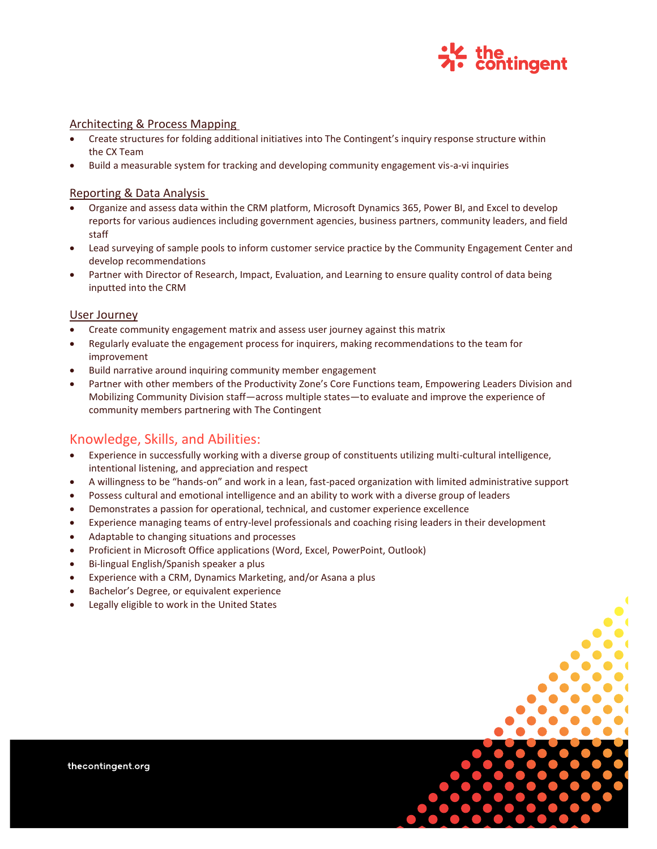

#### Architecting & Process Mapping

- Create structures for folding additional initiatives into The Contingent's inquiry response structure within the CX Team
- Build a measurable system for tracking and developing community engagement vis-a-vi inquiries

#### Reporting & Data Analysis

- Organize and assess data within the CRM platform, Microsoft Dynamics 365, Power BI, and Excel to develop reports for various audiences including government agencies, business partners, community leaders, and field staff
- Lead surveying of sample pools to inform customer service practice by the Community Engagement Center and develop recommendations
- Partner with Director of Research, Impact, Evaluation, and Learning to ensure quality control of data being inputted into the CRM

#### User Journey

- Create community engagement matrix and assess user journey against this matrix
- Regularly evaluate the engagement process for inquirers, making recommendations to the team for improvement
- Build narrative around inquiring community member engagement
- Partner with other members of the Productivity Zone's Core Functions team, Empowering Leaders Division and Mobilizing Community Division staff—across multiple states—to evaluate and improve the experience of community members partnering with The Contingent

## Knowledge, Skills, and Abilities:

- Experience in successfully working with a diverse group of constituents utilizing multi-cultural intelligence, intentional listening, and appreciation and respect
- A willingness to be "hands-on" and work in a lean, fast-paced organization with limited administrative support
- Possess cultural and emotional intelligence and an ability to work with a diverse group of leaders
- Demonstrates a passion for operational, technical, and customer experience excellence
- Experience managing teams of entry-level professionals and coaching rising leaders in their development
- Adaptable to changing situations and processes
- Proficient in Microsoft Office applications (Word, Excel, PowerPoint, Outlook)
- Bi-lingual English/Spanish speaker a plus
- Experience with a CRM, Dynamics Marketing, and/or Asana a plus
- Bachelor's Degree, or equivalent experience
- Legally eligible to work in the United States